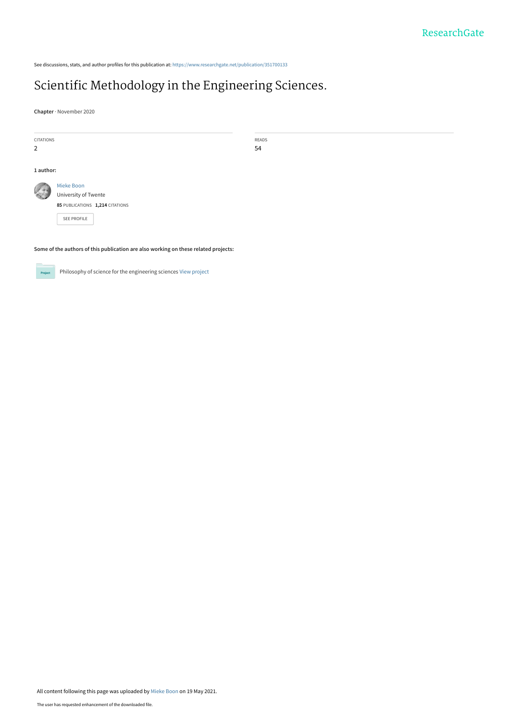See discussions, stats, and author profiles for this publication at: [https://www.researchgate.net/publication/351700133](https://www.researchgate.net/publication/351700133_Scientific_Methodology_in_the_Engineering_Sciences?enrichId=rgreq-62edcb4daab86805f9605b7d076859c6-XXX&enrichSource=Y292ZXJQYWdlOzM1MTcwMDEzMztBUzoxMDI1MTkwNTI4MDQ1MDU4QDE2MjE0MzU4NzczMzQ%3D&el=1_x_2&_esc=publicationCoverPdf)

# [Scientific Methodology in the Engineering Sciences.](https://www.researchgate.net/publication/351700133_Scientific_Methodology_in_the_Engineering_Sciences?enrichId=rgreq-62edcb4daab86805f9605b7d076859c6-XXX&enrichSource=Y292ZXJQYWdlOzM1MTcwMDEzMztBUzoxMDI1MTkwNTI4MDQ1MDU4QDE2MjE0MzU4NzczMzQ%3D&el=1_x_3&_esc=publicationCoverPdf)

**Chapter** · November 2020

| CITATIONS<br>2 |                                                                                                                                                                                                            | READS<br>54 |
|----------------|------------------------------------------------------------------------------------------------------------------------------------------------------------------------------------------------------------|-------------|
| 1 author:      |                                                                                                                                                                                                            |             |
|                | Mieke Boon<br>University of Twente<br>85 PUBLICATIONS 1,214 CITATIONS<br>SEE PROFILE<br>renders and the second contract of the second contract of the second contract of the second contract of the second |             |

**Some of the authors of this publication are also working on these related projects:**



Philosophy of science for the engineering sciences [View project](https://www.researchgate.net/project/Philosophy-of-science-for-the-engineering-sciences?enrichId=rgreq-62edcb4daab86805f9605b7d076859c6-XXX&enrichSource=Y292ZXJQYWdlOzM1MTcwMDEzMztBUzoxMDI1MTkwNTI4MDQ1MDU4QDE2MjE0MzU4NzczMzQ%3D&el=1_x_9&_esc=publicationCoverPdf)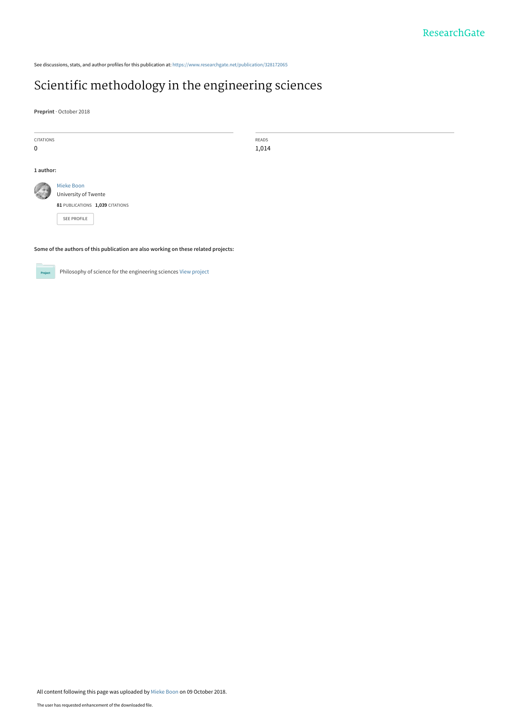See discussions, stats, and author profiles for this publication at: [https://www.researchgate.net/publication/328172065](https://www.researchgate.net/publication/328172065_Scientific_methodology_in_the_engineering_sciences?enrichId=rgreq-99baa4ac12183ed2ee097313896ddff4-XXX&enrichSource=Y292ZXJQYWdlOzMyODE3MjA2NTtBUzo2Nzk4MzA2MzQ5MTc4ODlAMTUzOTA5NTY2MjQ4Ng%3D%3D&el=1_x_2&_esc=publicationCoverPdf)

# [Scientific methodology in the engineering sciences](https://www.researchgate.net/publication/328172065_Scientific_methodology_in_the_engineering_sciences?enrichId=rgreq-99baa4ac12183ed2ee097313896ddff4-XXX&enrichSource=Y292ZXJQYWdlOzMyODE3MjA2NTtBUzo2Nzk4MzA2MzQ5MTc4ODlAMTUzOTA5NTY2MjQ4Ng%3D%3D&el=1_x_3&_esc=publicationCoverPdf)

**Preprint** · October 2018

CITATIONS 0

READS 1,014

#### **1 author:**

[Mieke Boon](https://www.researchgate.net/profile/Mieke_Boon2?enrichId=rgreq-99baa4ac12183ed2ee097313896ddff4-XXX&enrichSource=Y292ZXJQYWdlOzMyODE3MjA2NTtBUzo2Nzk4MzA2MzQ5MTc4ODlAMTUzOTA5NTY2MjQ4Ng%3D%3D&el=1_x_5&_esc=publicationCoverPdf) [University of Twente](https://www.researchgate.net/institution/University_of_Twente?enrichId=rgreq-99baa4ac12183ed2ee097313896ddff4-XXX&enrichSource=Y292ZXJQYWdlOzMyODE3MjA2NTtBUzo2Nzk4MzA2MzQ5MTc4ODlAMTUzOTA5NTY2MjQ4Ng%3D%3D&el=1_x_6&_esc=publicationCoverPdf) **81** PUBLICATIONS **1,039** CITATIONS

[SEE PROFILE](https://www.researchgate.net/profile/Mieke_Boon2?enrichId=rgreq-99baa4ac12183ed2ee097313896ddff4-XXX&enrichSource=Y292ZXJQYWdlOzMyODE3MjA2NTtBUzo2Nzk4MzA2MzQ5MTc4ODlAMTUzOTA5NTY2MjQ4Ng%3D%3D&el=1_x_7&_esc=publicationCoverPdf)

**Some of the authors of this publication are also working on these related projects:**



Philosophy of science for the engineering sciences [View project](https://www.researchgate.net/project/Philosophy-of-science-for-the-engineering-sciences?enrichId=rgreq-99baa4ac12183ed2ee097313896ddff4-XXX&enrichSource=Y292ZXJQYWdlOzMyODE3MjA2NTtBUzo2Nzk4MzA2MzQ5MTc4ODlAMTUzOTA5NTY2MjQ4Ng%3D%3D&el=1_x_9&_esc=publicationCoverPdf)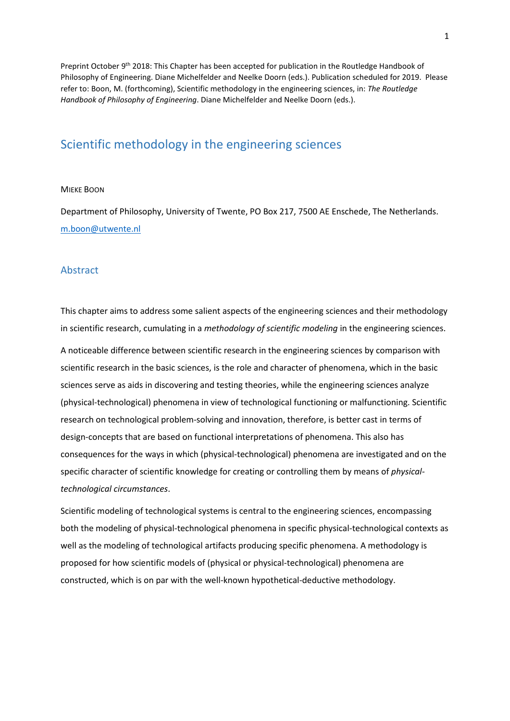Preprint October 9<sup>th</sup> 2018: This Chapter has been accepted for publication in the Routledge Handbook of Philosophy of Engineering. Diane Michelfelder and Neelke Doorn (eds.). Publication scheduled for 2019. Please refer to: Boon, M. (forthcoming), Scientific methodology in the engineering sciences, in: *The Routledge Handbook of Philosophy of Engineering*. Diane Michelfelder and Neelke Doorn (eds.).

# Scientific methodology in the engineering sciences

#### MIEKE BOON

Department of Philosophy, University of Twente, PO Box 217, 7500 AE Enschede, The Netherlands. [m.boon@utwente.nl](mailto:m.boon@utwente.nl)

### **Abstract**

This chapter aims to address some salient aspects of the engineering sciences and their methodology in scientific research, cumulating in a *methodology of scientific modeling* in the engineering sciences. A noticeable difference between scientific research in the engineering sciences by comparison with scientific research in the basic sciences, is the role and character of phenomena, which in the basic sciences serve as aids in discovering and testing theories, while the engineering sciences analyze (physical-technological) phenomena in view of technological functioning or malfunctioning. Scientific research on technological problem-solving and innovation, therefore, is better cast in terms of design-concepts that are based on functional interpretations of phenomena. This also has consequences for the ways in which (physical-technological) phenomena are investigated and on the specific character of scientific knowledge for creating or controlling them by means of *physicaltechnological circumstances*.

Scientific modeling of technological systems is central to the engineering sciences, encompassing both the modeling of physical-technological phenomena in specific physical-technological contexts as well as the modeling of technological artifacts producing specific phenomena. A methodology is proposed for how scientific models of (physical or physical-technological) phenomena are constructed, which is on par with the well-known hypothetical-deductive methodology.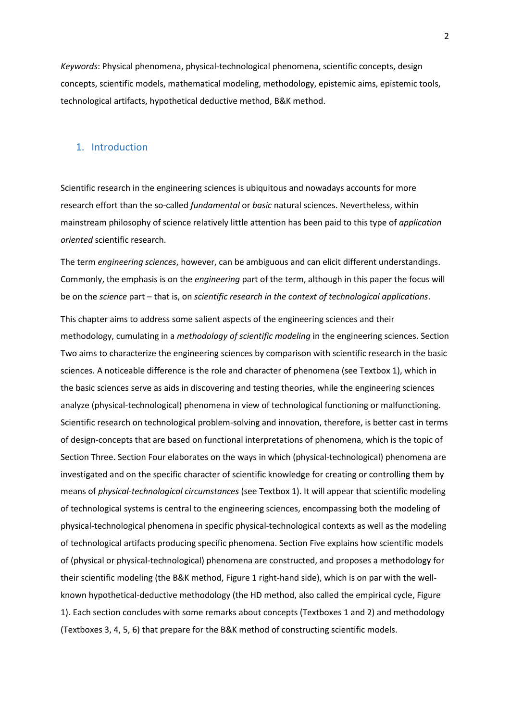*Keywords*: Physical phenomena, physical-technological phenomena, scientific concepts, design concepts, scientific models, mathematical modeling, methodology, epistemic aims, epistemic tools, technological artifacts, hypothetical deductive method, B&K method.

### 1. Introduction

Scientific research in the engineering sciences is ubiquitous and nowadays accounts for more research effort than the so-called *fundamental* or *basic* natural sciences. Nevertheless, within mainstream philosophy of science relatively little attention has been paid to this type of *application oriented* scientific research.

The term *engineering sciences*, however, can be ambiguous and can elicit different understandings. Commonly, the emphasis is on the *engineering* part of the term, although in this paper the focus will be on the *science* part – that is, on *scientific research in the context of technological applications*.

This chapter aims to address some salient aspects of the engineering sciences and their methodology, cumulating in a *methodology of scientific modeling* in the engineering sciences. Section Two aims to characterize the engineering sciences by comparison with scientific research in the basic sciences. A noticeable difference is the role and character of phenomena (see Textbox 1), which in the basic sciences serve as aids in discovering and testing theories, while the engineering sciences analyze (physical-technological) phenomena in view of technological functioning or malfunctioning. Scientific research on technological problem-solving and innovation, therefore, is better cast in terms of design-concepts that are based on functional interpretations of phenomena, which is the topic of Section Three. Section Four elaborates on the ways in which (physical-technological) phenomena are investigated and on the specific character of scientific knowledge for creating or controlling them by means of *physical-technological circumstances* (see Textbox 1). It will appear that scientific modeling of technological systems is central to the engineering sciences, encompassing both the modeling of physical-technological phenomena in specific physical-technological contexts as well as the modeling of technological artifacts producing specific phenomena. Section Five explains how scientific models of (physical or physical-technological) phenomena are constructed, and proposes a methodology for their scientific modeling (the B&K method, Figure 1 right-hand side), which is on par with the wellknown hypothetical-deductive methodology (the HD method, also called the empirical cycle, Figure 1). Each section concludes with some remarks about concepts (Textboxes 1 and 2) and methodology (Textboxes 3, 4, 5, 6) that prepare for the B&K method of constructing scientific models.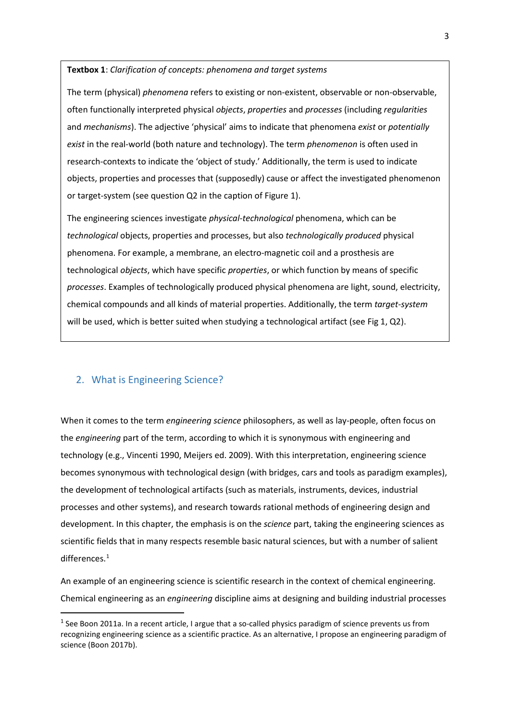#### **Textbox 1**: *Clarification of concepts: phenomena and target systems*

The term (physical) *phenomena* refers to existing or non-existent, observable or non-observable, often functionally interpreted physical *objects*, *properties* and *processes* (including *regularities* and *mechanisms*). The adjective 'physical' aims to indicate that phenomena *exist* or *potentially exist* in the real-world (both nature and technology). The term *phenomenon* is often used in research-contexts to indicate the 'object of study.' Additionally, the term is used to indicate objects, properties and processes that (supposedly) cause or affect the investigated phenomenon or target-system (see question Q2 in the caption of Figure 1).

The engineering sciences investigate *physical-technological* phenomena, which can be *technological* objects, properties and processes, but also *technologically produced* physical phenomena. For example, a membrane, an electro-magnetic coil and a prosthesis are technological *objects*, which have specific *properties*, or which function by means of specific *processes*. Examples of technologically produced physical phenomena are light, sound, electricity, chemical compounds and all kinds of material properties. Additionally, the term *target-system* will be used, which is better suited when studying a technological artifact (see Fig 1, Q2).

# 2. What is Engineering Science?

When it comes to the term *engineering science* philosophers, as well as lay-people, often focus on the *engineering* part of the term, according to which it is synonymous with engineering and technology (e.g., Vincenti 1990, Meijers ed. 2009). With this interpretation, engineering science becomes synonymous with technological design (with bridges, cars and tools as paradigm examples), the development of technological artifacts (such as materials, instruments, devices, industrial processes and other systems), and research towards rational methods of engineering design and development. In this chapter, the emphasis is on the *science* part, taking the engineering sciences as scientific fields that in many respects resemble basic natural sciences, but with a number of salient differences.<sup>[1](#page-4-0)</sup>

An example of an engineering science is scientific research in the context of chemical engineering. Chemical engineering as an *engineering* discipline aims at designing and building industrial processes

<span id="page-4-0"></span> $1$  See Boon 2011a. In a recent article, I argue that a so-called physics paradigm of science prevents us from recognizing engineering science as a scientific practice. As an alternative, I propose an engineering paradigm of science (Boon 2017b).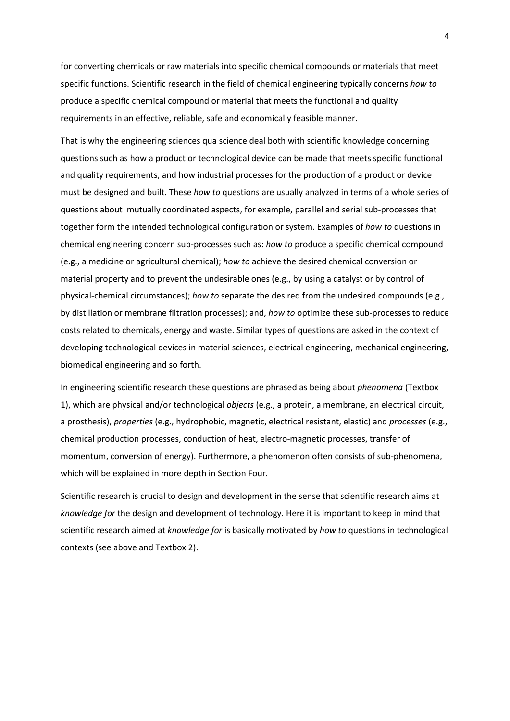for converting chemicals or raw materials into specific chemical compounds or materials that meet specific functions. Scientific research in the field of chemical engineering typically concerns *how to*  produce a specific chemical compound or material that meets the functional and quality requirements in an effective, reliable, safe and economically feasible manner.

That is why the engineering sciences qua science deal both with scientific knowledge concerning questions such as how a product or technological device can be made that meets specific functional and quality requirements, and how industrial processes for the production of a product or device must be designed and built. These *how to* questions are usually analyzed in terms of a whole series of questions about mutually coordinated aspects, for example, parallel and serial sub-processes that together form the intended technological configuration or system. Examples of *how to* questions in chemical engineering concern sub-processes such as: *how to* produce a specific chemical compound (e.g., a medicine or agricultural chemical); *how to* achieve the desired chemical conversion or material property and to prevent the undesirable ones (e.g., by using a catalyst or by control of physical-chemical circumstances); *how to* separate the desired from the undesired compounds (e.g., by distillation or membrane filtration processes); and, *how to* optimize these sub-processes to reduce costs related to chemicals, energy and waste. Similar types of questions are asked in the context of developing technological devices in material sciences, electrical engineering, mechanical engineering, biomedical engineering and so forth.

In engineering scientific research these questions are phrased as being about *phenomena* (Textbox 1), which are physical and/or technological *objects* (e.g., a protein, a membrane, an electrical circuit, a prosthesis), *properties* (e.g., hydrophobic, magnetic, electrical resistant, elastic) and *processes* (e.g., chemical production processes, conduction of heat, electro-magnetic processes, transfer of momentum, conversion of energy). Furthermore, a phenomenon often consists of sub-phenomena, which will be explained in more depth in Section Four.

Scientific research is crucial to design and development in the sense that scientific research aims at *knowledge for* the design and development of technology. Here it is important to keep in mind that scientific research aimed at *knowledge for* is basically motivated by *how to* questions in technological contexts (see above and Textbox 2).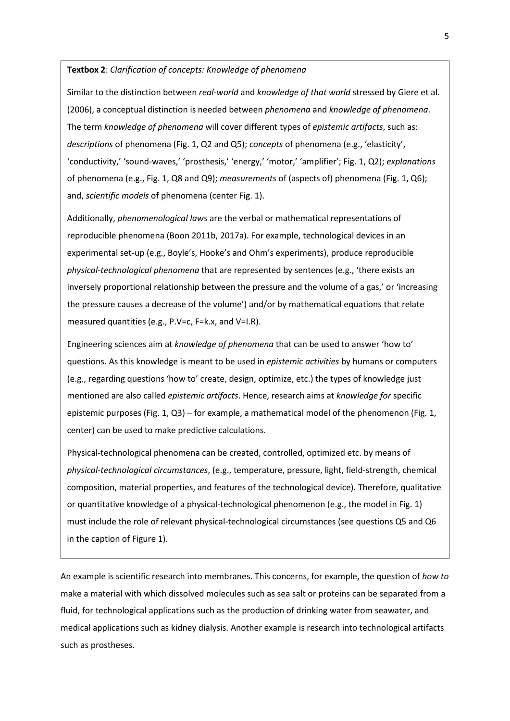#### **Textbox 2**: *Clarification of concepts: Knowledge of phenomena*

Similar to the distinction between *real-world* and *knowledge of that world* stressed by Giere et al. (2006), a conceptual distinction is needed between *phenomena* and *knowledge of phenomena*. The term *knowledge of phenomena* will cover different types of *epistemic artifacts*, such as: *descriptions* of phenomena (Fig. 1, Q2 and Q5); *concepts* of phenomena (e.g., 'elasticity', 'conductivity,' 'sound-waves,' 'prosthesis,' 'energy,' 'motor,' 'amplifier'; Fig. 1, Q2); *explanations* of phenomena (e.g., Fig. 1, Q8 and Q9); *measurements* of (aspects of) phenomena (Fig. 1, Q6); and, *scientific models* of phenomena (center Fig. 1).

Additionally, *phenomenological laws* are the verbal or mathematical representations of reproducible phenomena (Boon 2011b, 2017a). For example, technological devices in an experimental set-up (e.g., Boyle's, Hooke's and Ohm's experiments), produce reproducible *physical-technological phenomena* that are represented by sentences (e.g., 'there exists an inversely proportional relationship between the pressure and the volume of a gas,' or 'increasing the pressure causes a decrease of the volume') and/or by mathematical equations that relate measured quantities (e.g., P.V=c, F=k.x, and V=I.R).

Engineering sciences aim at *knowledge of phenomena* that can be used to answer 'how to' questions. As this knowledge is meant to be used in *epistemic activities* by humans or computers (e.g., regarding questions 'how to' create, design, optimize, etc.) the types of knowledge just mentioned are also called *epistemic artifacts*. Hence, research aims at *knowledge for* specific epistemic purposes (Fig. 1, Q3) – for example, a mathematical model of the phenomenon (Fig. 1, center) can be used to make predictive calculations.

Physical-technological phenomena can be created, controlled, optimized etc. by means of *physical-technological circumstances*, (e.g., temperature, pressure, light, field-strength, chemical composition, material properties, and features of the technological device). Therefore, qualitative or quantitative knowledge of a physical-technological phenomenon (e.g., the model in Fig. 1) must include the role of relevant physical-technological circumstances (see questions Q5 and Q6 in the caption of Figure 1).

An example is scientific research into membranes. This concerns, for example, the question of *how to* make a material with which dissolved molecules such as sea salt or proteins can be separated from a fluid, for technological applications such as the production of drinking water from seawater, and medical applications such as kidney dialysis. Another example is research into technological artifacts such as prostheses.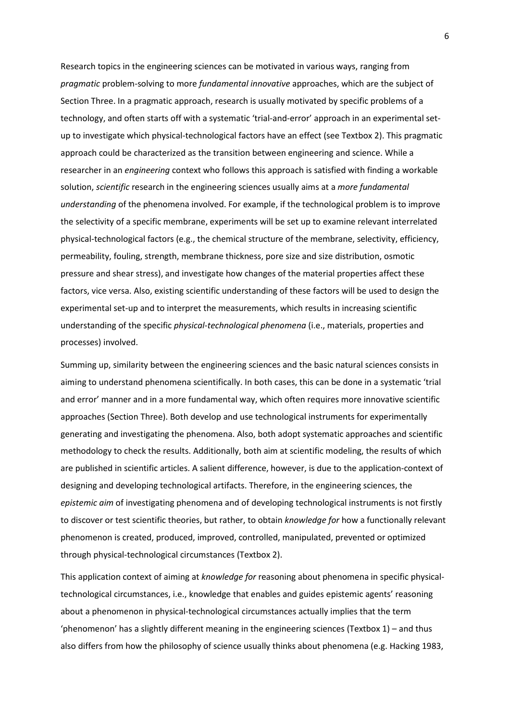Research topics in the engineering sciences can be motivated in various ways, ranging from *pragmatic* problem-solving to more *fundamental innovative* approaches, which are the subject of Section Three. In a pragmatic approach, research is usually motivated by specific problems of a technology, and often starts off with a systematic 'trial-and-error' approach in an experimental setup to investigate which physical-technological factors have an effect (see Textbox 2). This pragmatic approach could be characterized as the transition between engineering and science. While a researcher in an *engineering* context who follows this approach is satisfied with finding a workable solution, *scientific* research in the engineering sciences usually aims at a *more fundamental understanding* of the phenomena involved. For example, if the technological problem is to improve the selectivity of a specific membrane, experiments will be set up to examine relevant interrelated physical-technological factors (e.g., the chemical structure of the membrane, selectivity, efficiency, permeability, fouling, strength, membrane thickness, pore size and size distribution, osmotic pressure and shear stress), and investigate how changes of the material properties affect these factors, vice versa. Also, existing scientific understanding of these factors will be used to design the experimental set-up and to interpret the measurements, which results in increasing scientific understanding of the specific *physical-technological phenomena* (i.e., materials, properties and processes) involved.

Summing up, similarity between the engineering sciences and the basic natural sciences consists in aiming to understand phenomena scientifically. In both cases, this can be done in a systematic 'trial and error' manner and in a more fundamental way, which often requires more innovative scientific approaches (Section Three). Both develop and use technological instruments for experimentally generating and investigating the phenomena. Also, both adopt systematic approaches and scientific methodology to check the results. Additionally, both aim at scientific modeling, the results of which are published in scientific articles. A salient difference, however, is due to the application-context of designing and developing technological artifacts. Therefore, in the engineering sciences, the *epistemic aim* of investigating phenomena and of developing technological instruments is not firstly to discover or test scientific theories, but rather, to obtain *knowledge for* how a functionally relevant phenomenon is created, produced, improved, controlled, manipulated, prevented or optimized through physical-technological circumstances (Textbox 2).

This application context of aiming at *knowledge for* reasoning about phenomena in specific physicaltechnological circumstances, i.e., knowledge that enables and guides epistemic agents' reasoning about a phenomenon in physical-technological circumstances actually implies that the term 'phenomenon' has a slightly different meaning in the engineering sciences (Textbox 1) – and thus also differs from how the philosophy of science usually thinks about phenomena (e.g. Hacking 1983,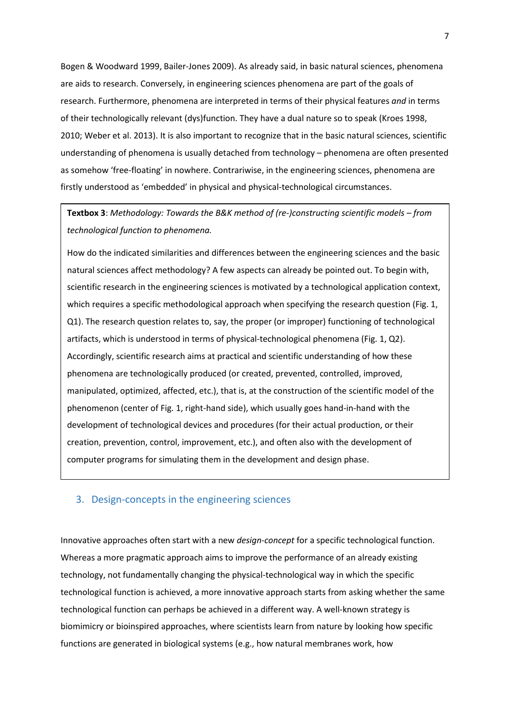Bogen & Woodward 1999, Bailer-Jones 2009). As already said, in basic natural sciences, phenomena are aids to research. Conversely, in engineering sciences phenomena are part of the goals of research. Furthermore, phenomena are interpreted in terms of their physical features *and* in terms of their technologically relevant (dys)function. They have a dual nature so to speak (Kroes 1998, 2010; Weber et al. 2013). It is also important to recognize that in the basic natural sciences, scientific understanding of phenomena is usually detached from technology – phenomena are often presented as somehow 'free-floating' in nowhere. Contrariwise, in the engineering sciences, phenomena are firstly understood as 'embedded' in physical and physical-technological circumstances.

# **Textbox 3**: *Methodology: Towards the B&K method of (re-)constructing scientific models – from technological function to phenomena.*

How do the indicated similarities and differences between the engineering sciences and the basic natural sciences affect methodology? A few aspects can already be pointed out. To begin with, scientific research in the engineering sciences is motivated by a technological application context, which requires a specific methodological approach when specifying the research question (Fig. 1, Q1). The research question relates to, say, the proper (or improper) functioning of technological artifacts, which is understood in terms of physical-technological phenomena (Fig. 1, Q2). Accordingly, scientific research aims at practical and scientific understanding of how these phenomena are technologically produced (or created, prevented, controlled, improved, manipulated, optimized, affected, etc.), that is, at the construction of the scientific model of the phenomenon (center of Fig. 1, right-hand side), which usually goes hand-in-hand with the development of technological devices and procedures (for their actual production, or their creation, prevention, control, improvement, etc.), and often also with the development of computer programs for simulating them in the development and design phase.

## 3. Design-concepts in the engineering sciences

Innovative approaches often start with a new *design-concept* for a specific technological function. Whereas a more pragmatic approach aims to improve the performance of an already existing technology, not fundamentally changing the physical-technological way in which the specific technological function is achieved, a more innovative approach starts from asking whether the same technological function can perhaps be achieved in a different way. A well-known strategy is biomimicry or bioinspired approaches, where scientists learn from nature by looking how specific functions are generated in biological systems (e.g., how natural membranes work, how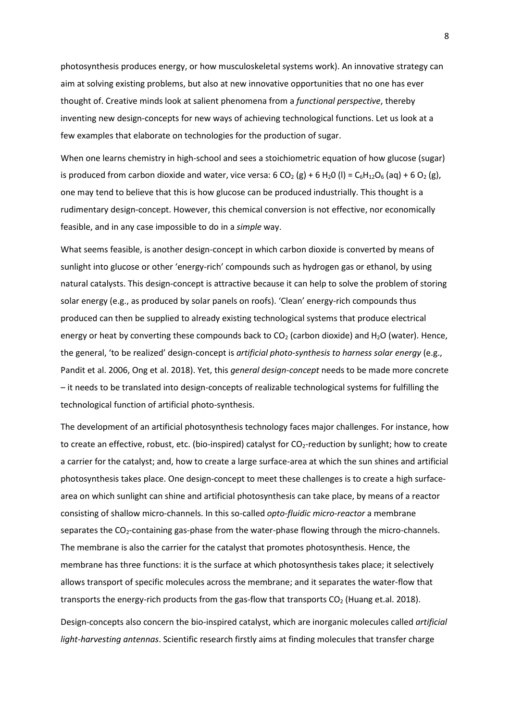photosynthesis produces energy, or how musculoskeletal systems work). An innovative strategy can aim at solving existing problems, but also at new innovative opportunities that no one has ever thought of. Creative minds look at salient phenomena from a *functional perspective*, thereby inventing new design-concepts for new ways of achieving technological functions. Let us look at a few examples that elaborate on technologies for the production of sugar.

When one learns chemistry in high-school and sees a stoichiometric equation of how glucose (sugar) is produced from carbon dioxide and water, vice versa:  $6 \text{ CO}_2(g) + 6 \text{ H}_2O(l) = C_6\text{H}_{12}\text{O}_6 (aq) + 6 \text{ O}_2 (g)$ , one may tend to believe that this is how glucose can be produced industrially. This thought is a rudimentary design-concept. However, this chemical conversion is not effective, nor economically feasible, and in any case impossible to do in a *simple* way.

What seems feasible, is another design-concept in which carbon dioxide is converted by means of sunlight into glucose or other 'energy-rich' compounds such as hydrogen gas or ethanol, by using natural catalysts. This design-concept is attractive because it can help to solve the problem of storing solar energy (e.g., as produced by solar panels on roofs). 'Clean' energy-rich compounds thus produced can then be supplied to already existing technological systems that produce electrical energy or heat by converting these compounds back to  $CO<sub>2</sub>$  (carbon dioxide) and H<sub>2</sub>O (water). Hence, the general, 'to be realized' design-concept is *artificial photo-synthesis to harness solar energy* (e.g., Pandit et al. 2006, Ong et al. 2018). Yet, this *general design-concept* needs to be made more concrete – it needs to be translated into design-concepts of realizable technological systems for fulfilling the technological function of artificial photo-synthesis.

The development of an artificial photosynthesis technology faces major challenges. For instance, how to create an effective, robust, etc. (bio-inspired) catalyst for  $CO<sub>2</sub>$ -reduction by sunlight; how to create a carrier for the catalyst; and, how to create a large surface-area at which the sun shines and artificial photosynthesis takes place. One design-concept to meet these challenges is to create a high surfacearea on which sunlight can shine and artificial photosynthesis can take place, by means of a reactor consisting of shallow micro-channels. In this so-called *opto-fluidic micro-reactor* a membrane separates the  $CO<sub>2</sub>$ -containing gas-phase from the water-phase flowing through the micro-channels. The membrane is also the carrier for the catalyst that promotes photosynthesis. Hence, the membrane has three functions: it is the surface at which photosynthesis takes place; it selectively allows transport of specific molecules across the membrane; and it separates the water-flow that transports the energy-rich products from the gas-flow that transports  $CO<sub>2</sub>$  (Huang et.al. 2018).

Design-concepts also concern the bio-inspired catalyst, which are inorganic molecules called *artificial light-harvesting antennas*. Scientific research firstly aims at finding molecules that transfer charge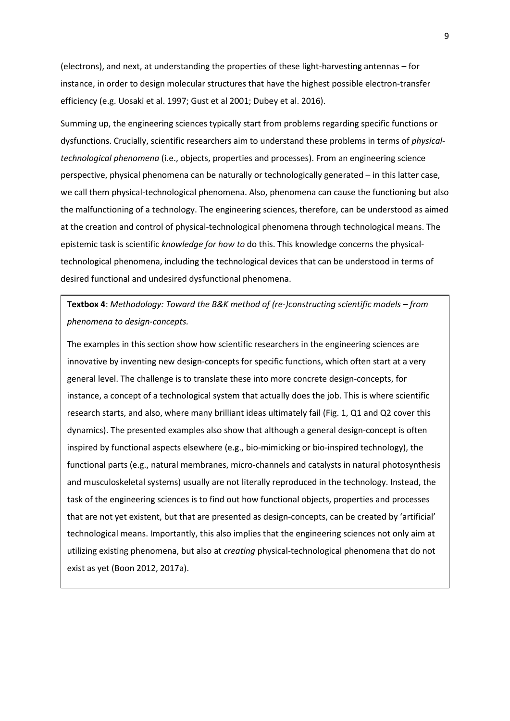(electrons), and next, at understanding the properties of these light-harvesting antennas – for instance, in order to design molecular structures that have the highest possible electron-transfer efficiency (e.g. Uosaki et al. 1997; Gust et al 2001; Dubey et al. 2016).

Summing up, the engineering sciences typically start from problems regarding specific functions or dysfunctions. Crucially, scientific researchers aim to understand these problems in terms of *physicaltechnological phenomena* (i.e., objects, properties and processes). From an engineering science perspective, physical phenomena can be naturally or technologically generated – in this latter case, we call them physical-technological phenomena. Also, phenomena can cause the functioning but also the malfunctioning of a technology. The engineering sciences, therefore, can be understood as aimed at the creation and control of physical-technological phenomena through technological means. The epistemic task is scientific *knowledge for how to* do this. This knowledge concerns the physicaltechnological phenomena, including the technological devices that can be understood in terms of desired functional and undesired dysfunctional phenomena.

**Textbox 4**: *Methodology: Toward the B&K method of (re-)constructing scientific models – from phenomena to design-concepts.*

The examples in this section show how scientific researchers in the engineering sciences are innovative by inventing new design-concepts for specific functions, which often start at a very general level. The challenge is to translate these into more concrete design-concepts, for instance, a concept of a technological system that actually does the job. This is where scientific research starts, and also, where many brilliant ideas ultimately fail (Fig. 1, Q1 and Q2 cover this dynamics). The presented examples also show that although a general design-concept is often inspired by functional aspects elsewhere (e.g., bio-mimicking or bio-inspired technology), the functional parts (e.g., natural membranes, micro-channels and catalysts in natural photosynthesis and musculoskeletal systems) usually are not literally reproduced in the technology. Instead, the task of the engineering sciences is to find out how functional objects, properties and processes that are not yet existent, but that are presented as design-concepts, can be created by 'artificial' technological means. Importantly, this also implies that the engineering sciences not only aim at utilizing existing phenomena, but also at *creating* physical-technological phenomena that do not exist as yet (Boon 2012, 2017a).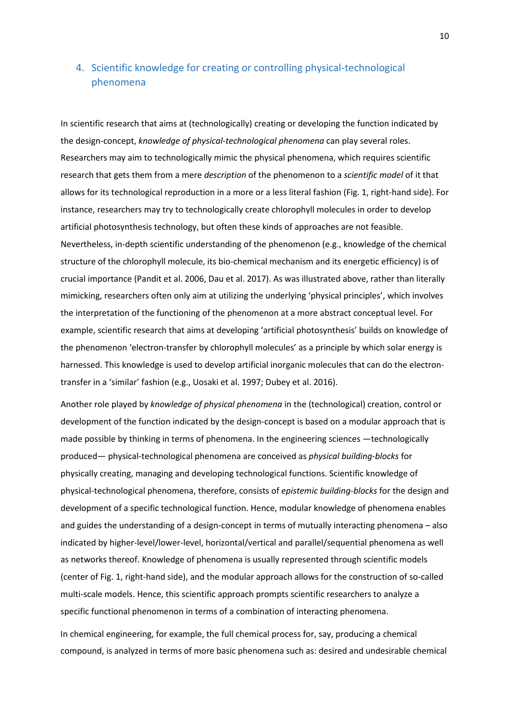# 4. Scientific knowledge for creating or controlling physical-technological phenomena

In scientific research that aims at (technologically) creating or developing the function indicated by the design-concept, *knowledge of physical-technological phenomena* can play several roles. Researchers may aim to technologically mimic the physical phenomena, which requires scientific research that gets them from a mere *description* of the phenomenon to a *scientific model* of it that allows for its technological reproduction in a more or a less literal fashion (Fig. 1, right-hand side). For instance, researchers may try to technologically create chlorophyll molecules in order to develop artificial photosynthesis technology, but often these kinds of approaches are not feasible. Nevertheless, in-depth scientific understanding of the phenomenon (e.g., knowledge of the chemical structure of the chlorophyll molecule, its bio-chemical mechanism and its energetic efficiency) is of crucial importance (Pandit et al. 2006, Dau et al. 2017). As was illustrated above, rather than literally mimicking, researchers often only aim at utilizing the underlying 'physical principles', which involves the interpretation of the functioning of the phenomenon at a more abstract conceptual level. For example, scientific research that aims at developing 'artificial photosynthesis' builds on knowledge of the phenomenon 'electron-transfer by chlorophyll molecules' as a principle by which solar energy is harnessed. This knowledge is used to develop artificial inorganic molecules that can do the electrontransfer in a 'similar' fashion (e.g., Uosaki et al. 1997; Dubey et al. 2016).

Another role played by *knowledge of physical phenomena* in the (technological) creation, control or development of the function indicated by the design-concept is based on a modular approach that is made possible by thinking in terms of phenomena. In the engineering sciences —technologically produced— physical-technological phenomena are conceived as *physical building-blocks* for physically creating, managing and developing technological functions. Scientific knowledge of physical-technological phenomena, therefore, consists of *epistemic building-blocks* for the design and development of a specific technological function. Hence, modular knowledge of phenomena enables and guides the understanding of a design-concept in terms of mutually interacting phenomena – also indicated by higher-level/lower-level, horizontal/vertical and parallel/sequential phenomena as well as networks thereof. Knowledge of phenomena is usually represented through scientific models (center of Fig. 1, right-hand side), and the modular approach allows for the construction of so-called multi-scale models. Hence, this scientific approach prompts scientific researchers to analyze a specific functional phenomenon in terms of a combination of interacting phenomena.

In chemical engineering, for example, the full chemical process for, say, producing a chemical compound, is analyzed in terms of more basic phenomena such as: desired and undesirable chemical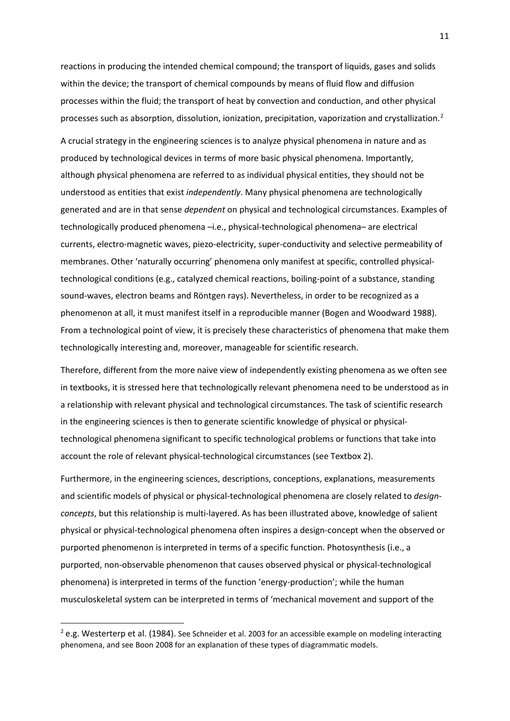reactions in producing the intended chemical compound; the transport of liquids, gases and solids within the device; the transport of chemical compounds by means of fluid flow and diffusion processes within the fluid; the transport of heat by convection and conduction, and other physical processes such as absorption, dissolution, ionization, precipitation, vaporization and crystallization.<sup>[2](#page-12-0)</sup>

A crucial strategy in the engineering sciences is to analyze physical phenomena in nature and as produced by technological devices in terms of more basic physical phenomena. Importantly, although physical phenomena are referred to as individual physical entities, they should not be understood as entities that exist *independently*. Many physical phenomena are technologically generated and are in that sense *dependent* on physical and technological circumstances. Examples of technologically produced phenomena –i.e., physical-technological phenomena– are electrical currents, electro-magnetic waves, piezo-electricity, super-conductivity and selective permeability of membranes. Other 'naturally occurring' phenomena only manifest at specific, controlled physicaltechnological conditions (e.g., catalyzed chemical reactions, boiling-point of a substance, standing sound-waves, electron beams and Röntgen rays). Nevertheless, in order to be recognized as a phenomenon at all, it must manifest itself in a reproducible manner (Bogen and Woodward 1988). From a technological point of view, it is precisely these characteristics of phenomena that make them technologically interesting and, moreover, manageable for scientific research.

Therefore, different from the more naive view of independently existing phenomena as we often see in textbooks, it is stressed here that technologically relevant phenomena need to be understood as in a relationship with relevant physical and technological circumstances. The task of scientific research in the engineering sciences is then to generate scientific knowledge of physical or physicaltechnological phenomena significant to specific technological problems or functions that take into account the role of relevant physical-technological circumstances (see Textbox 2).

Furthermore, in the engineering sciences, descriptions, conceptions, explanations, measurements and scientific models of physical or physical-technological phenomena are closely related to *designconcepts*, but this relationship is multi-layered. As has been illustrated above, knowledge of salient physical or physical-technological phenomena often inspires a design-concept when the observed or purported phenomenon is interpreted in terms of a specific function. Photosynthesis (i.e., a purported, non-observable phenomenon that causes observed physical or physical-technological phenomena) is interpreted in terms of the function 'energy-production'; while the human musculoskeletal system can be interpreted in terms of 'mechanical movement and support of the

<span id="page-12-0"></span> $^{2}$  e.g. Westerterp et al. (1984). See Schneider et al. 2003 for an accessible example on modeling interacting phenomena, and see Boon 2008 for an explanation of these types of diagrammatic models.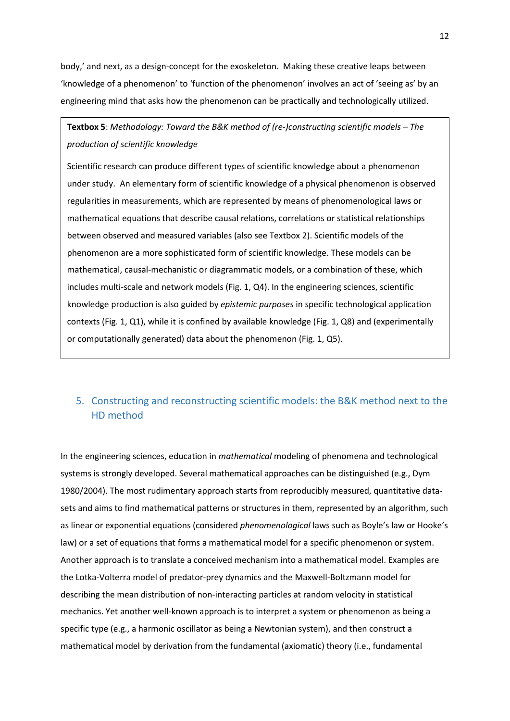body,' and next, as a design-concept for the exoskeleton. Making these creative leaps between 'knowledge of a phenomenon' to 'function of the phenomenon' involves an act of 'seeing as' by an engineering mind that asks how the phenomenon can be practically and technologically utilized.

**Textbox 5**: *Methodology: Toward the B&K method of (re-)constructing scientific models – The production of scientific knowledge*

Scientific research can produce different types of scientific knowledge about a phenomenon under study. An elementary form of scientific knowledge of a physical phenomenon is observed regularities in measurements, which are represented by means of phenomenological laws or mathematical equations that describe causal relations, correlations or statistical relationships between observed and measured variables (also see Textbox 2). Scientific models of the phenomenon are a more sophisticated form of scientific knowledge. These models can be mathematical, causal-mechanistic or diagrammatic models, or a combination of these, which includes multi-scale and network models (Fig. 1, Q4). In the engineering sciences, scientific knowledge production is also guided by *epistemic purposes* in specific technological application contexts (Fig. 1, Q1), while it is confined by available knowledge (Fig. 1, Q8) and (experimentally or computationally generated) data about the phenomenon (Fig. 1, Q5).

# 5. Constructing and reconstructing scientific models: the B&K method next to the HD method

In the engineering sciences, education in *mathematical* modeling of phenomena and technological systems is strongly developed. Several mathematical approaches can be distinguished (e.g., Dym 1980/2004). The most rudimentary approach starts from reproducibly measured, quantitative datasets and aims to find mathematical patterns or structures in them, represented by an algorithm, such as linear or exponential equations (considered *phenomenological* laws such as Boyle's law or Hooke's law) or a set of equations that forms a mathematical model for a specific phenomenon or system. Another approach is to translate a conceived mechanism into a mathematical model. Examples are the Lotka-Volterra model of predator-prey dynamics and the Maxwell-Boltzmann model for describing the mean distribution of non-interacting particles at random velocity in statistical mechanics. Yet another well-known approach is to interpret a system or phenomenon as being a specific type (e.g., a harmonic oscillator as being a Newtonian system), and then construct a mathematical model by derivation from the fundamental (axiomatic) theory (i.e., fundamental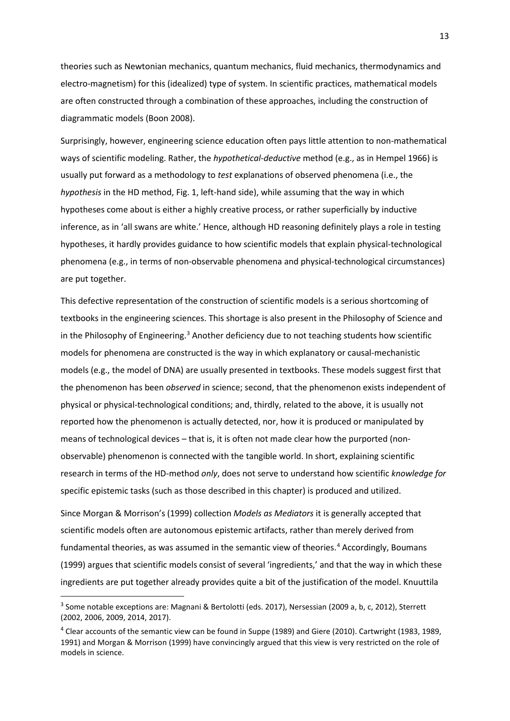theories such as Newtonian mechanics, quantum mechanics, fluid mechanics, thermodynamics and electro-magnetism) for this (idealized) type of system. In scientific practices, mathematical models are often constructed through a combination of these approaches, including the construction of diagrammatic models (Boon 2008).

Surprisingly, however, engineering science education often pays little attention to non-mathematical ways of scientific modeling. Rather, the *hypothetical-deductive* method (e.g., as in Hempel 1966) is usually put forward as a methodology to *test* explanations of observed phenomena (i.e., the *hypothesis* in the HD method, Fig. 1, left-hand side), while assuming that the way in which hypotheses come about is either a highly creative process, or rather superficially by inductive inference, as in 'all swans are white.' Hence, although HD reasoning definitely plays a role in testing hypotheses, it hardly provides guidance to how scientific models that explain physical-technological phenomena (e.g., in terms of non-observable phenomena and physical-technological circumstances) are put together.

This defective representation of the construction of scientific models is a serious shortcoming of textbooks in the engineering sciences. This shortage is also present in the Philosophy of Science and in the Philosophy of Engineering.<sup>[3](#page-14-0)</sup> Another deficiency due to not teaching students how scientific models for phenomena are constructed is the way in which explanatory or causal-mechanistic models (e.g., the model of DNA) are usually presented in textbooks. These models suggest first that the phenomenon has been *observed* in science; second, that the phenomenon exists independent of physical or physical-technological conditions; and, thirdly, related to the above, it is usually not reported how the phenomenon is actually detected, nor, how it is produced or manipulated by means of technological devices – that is, it is often not made clear how the purported (nonobservable) phenomenon is connected with the tangible world. In short, explaining scientific research in terms of the HD-method *only*, does not serve to understand how scientific *knowledge for* specific epistemic tasks (such as those described in this chapter) is produced and utilized.

Since Morgan & Morrison's (1999) collection *Models as Mediators* it is generally accepted that scientific models often are autonomous epistemic artifacts, rather than merely derived from fundamental theories, as was assumed in the semantic view of theories.<sup>[4](#page-14-1)</sup> Accordingly, Boumans (1999) argues that scientific models consist of several 'ingredients,' and that the way in which these ingredients are put together already provides quite a bit of the justification of the model. Knuuttila

<span id="page-14-0"></span> <sup>3</sup> Some notable exceptions are: Magnani & Bertolotti (eds. 2017), Nersessian (2009 a, b, c, 2012), Sterrett (2002, 2006, 2009, 2014, 2017).

<span id="page-14-1"></span><sup>4</sup> Clear accounts of the semantic view can be found in Suppe (1989) and Giere (2010). Cartwright (1983, 1989, 1991) and Morgan & Morrison (1999) have convincingly argued that this view is very restricted on the role of models in science.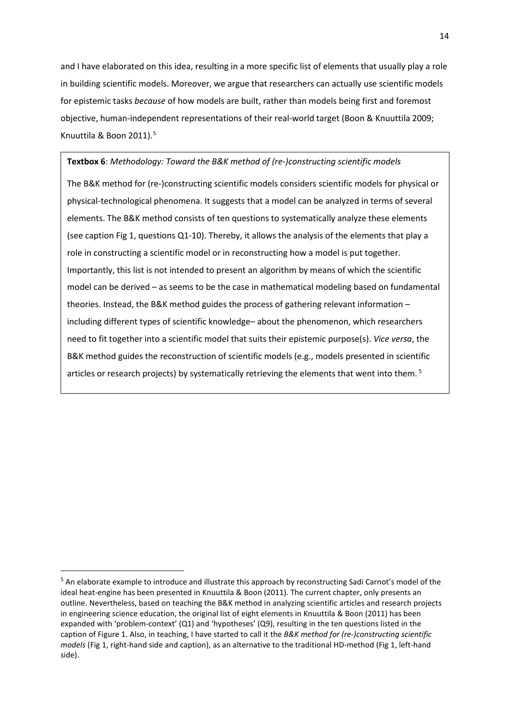and I have elaborated on this idea, resulting in a more specific list of elements that usually play a role in building scientific models. Moreover, we argue that researchers can actually use scientific models for epistemic tasks *because* of how models are built, rather than models being first and foremost objective, human-independent representations of their real-world target (Boon & Knuuttila 2009; Knuuttila & Boon 2011).[5](#page-15-0)

#### **Textbox 6**: *Methodology: Toward the B&K method of (re-)constructing scientific models*

The B&K method for (re-)constructing scientific models considers scientific models for physical or physical-technological phenomena. It suggests that a model can be analyzed in terms of several elements. The B&K method consists of ten questions to systematically analyze these elements (see caption Fig 1, questions Q1-10). Thereby, it allows the analysis of the elements that play a role in constructing a scientific model or in reconstructing how a model is put together. Importantly, this list is not intended to present an algorithm by means of which the scientific model can be derived – as seems to be the case in mathematical modeling based on fundamental theories. Instead, the B&K method guides the process of gathering relevant information – including different types of scientific knowledge– about the phenomenon, which researchers need to fit together into a scientific model that suits their epistemic purpose(s). *Vice versa*, the B&K method guides the reconstruction of scientific models (e.g., models presented in scientific articles or research projects) by systematically retrieving the elements that went into them.<sup>5</sup>

<span id="page-15-0"></span> $<sup>5</sup>$  An elaborate example to introduce and illustrate this approach by reconstructing Sadi Carnot's model of the</sup> ideal heat-engine has been presented in Knuuttila & Boon (2011). The current chapter, only presents an outline. Nevertheless, based on teaching the B&K method in analyzing scientific articles and research projects in engineering science education, the original list of eight elements in Knuuttila & Boon (2011) has been expanded with 'problem-context' (Q1) and 'hypotheses' (Q9), resulting in the ten questions listed in the caption of Figure 1. Also, in teaching, I have started to call it the *B&K method for (re-)constructing scientific models* (Fig 1, right-hand side and caption), as an alternative to the traditional HD-method (Fig 1, left-hand side).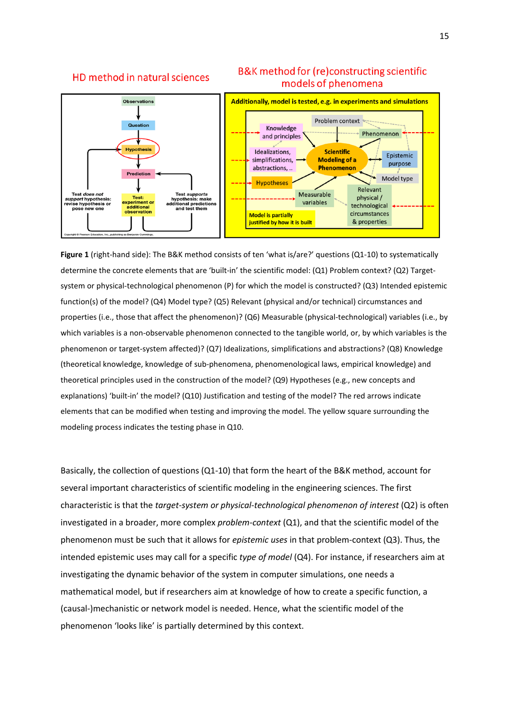#### HD method in natural sciences

# B&K method for (re)constructing scientific models of phenomena



**Figure 1** (right-hand side): The B&K method consists of ten 'what is/are?' questions (Q1-10) to systematically determine the concrete elements that are 'built-in' the scientific model: (Q1) Problem context? (Q2) Targetsystem or physical-technological phenomenon (P) for which the model is constructed? (Q3) Intended epistemic function(s) of the model? (Q4) Model type? (Q5) Relevant (physical and/or technical) circumstances and properties (i.e., those that affect the phenomenon)? (Q6) Measurable (physical-technological) variables (i.e., by which variables is a non-observable phenomenon connected to the tangible world, or, by which variables is the phenomenon or target-system affected)? (Q7) Idealizations, simplifications and abstractions? (Q8) Knowledge (theoretical knowledge, knowledge of sub-phenomena, phenomenological laws, empirical knowledge) and theoretical principles used in the construction of the model? (Q9) Hypotheses (e.g., new concepts and explanations) 'built-in' the model? (Q10) Justification and testing of the model? The red arrows indicate elements that can be modified when testing and improving the model. The yellow square surrounding the modeling process indicates the testing phase in Q10.

Basically, the collection of questions (Q1-10) that form the heart of the B&K method, account for several important characteristics of scientific modeling in the engineering sciences. The first characteristic is that the *target-system or physical-technological phenomenon of interest* (Q2) is often investigated in a broader, more complex *problem-context* (Q1), and that the scientific model of the phenomenon must be such that it allows for *epistemic uses* in that problem-context (Q3). Thus, the intended epistemic uses may call for a specific *type of model* (Q4). For instance, if researchers aim at investigating the dynamic behavior of the system in computer simulations, one needs a mathematical model, but if researchers aim at knowledge of how to create a specific function, a (causal-)mechanistic or network model is needed. Hence, what the scientific model of the phenomenon 'looks like' is partially determined by this context.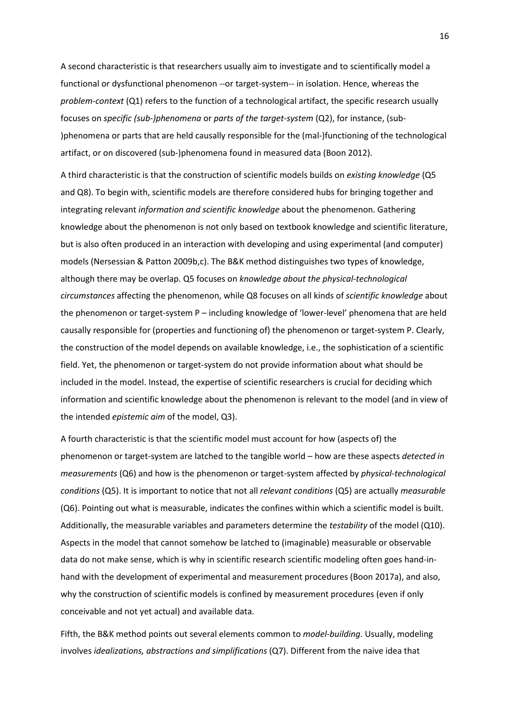A second characteristic is that researchers usually aim to investigate and to scientifically model a functional or dysfunctional phenomenon --or target-system-- in isolation. Hence, whereas the *problem-context* (Q1) refers to the function of a technological artifact, the specific research usually focuses on *specific (sub-)phenomena* or *parts of the target-system* (Q2), for instance, (sub- )phenomena or parts that are held causally responsible for the (mal-)functioning of the technological artifact, or on discovered (sub-)phenomena found in measured data (Boon 2012).

A third characteristic is that the construction of scientific models builds on *existing knowledge* (Q5 and Q8). To begin with, scientific models are therefore considered hubs for bringing together and integrating relevant *information and scientific knowledge* about the phenomenon. Gathering knowledge about the phenomenon is not only based on textbook knowledge and scientific literature, but is also often produced in an interaction with developing and using experimental (and computer) models (Nersessian & Patton 2009b,c). The B&K method distinguishes two types of knowledge, although there may be overlap. Q5 focuses on *knowledge about the physical-technological circumstances* affecting the phenomenon, while Q8 focuses on all kinds of *scientific knowledge* about the phenomenon or target-system P – including knowledge of 'lower-level' phenomena that are held causally responsible for (properties and functioning of) the phenomenon or target-system P. Clearly, the construction of the model depends on available knowledge, i.e., the sophistication of a scientific field. Yet, the phenomenon or target-system do not provide information about what should be included in the model. Instead, the expertise of scientific researchers is crucial for deciding which information and scientific knowledge about the phenomenon is relevant to the model (and in view of the intended *epistemic aim* of the model, Q3).

A fourth characteristic is that the scientific model must account for how (aspects of) the phenomenon or target-system are latched to the tangible world – how are these aspects *detected in measurements* (Q6) and how is the phenomenon or target-system affected by *physical-technological conditions* (Q5). It is important to notice that not all *relevant conditions* (Q5) are actually *measurable* (Q6). Pointing out what is measurable, indicates the confines within which a scientific model is built. Additionally, the measurable variables and parameters determine the *testability* of the model (Q10). Aspects in the model that cannot somehow be latched to (imaginable) measurable or observable data do not make sense, which is why in scientific research scientific modeling often goes hand-inhand with the development of experimental and measurement procedures (Boon 2017a), and also, why the construction of scientific models is confined by measurement procedures (even if only conceivable and not yet actual) and available data.

Fifth, the B&K method points out several elements common to *model-building*. Usually, modeling involves *idealizations, abstractions and simplifications* (Q7). Different from the naive idea that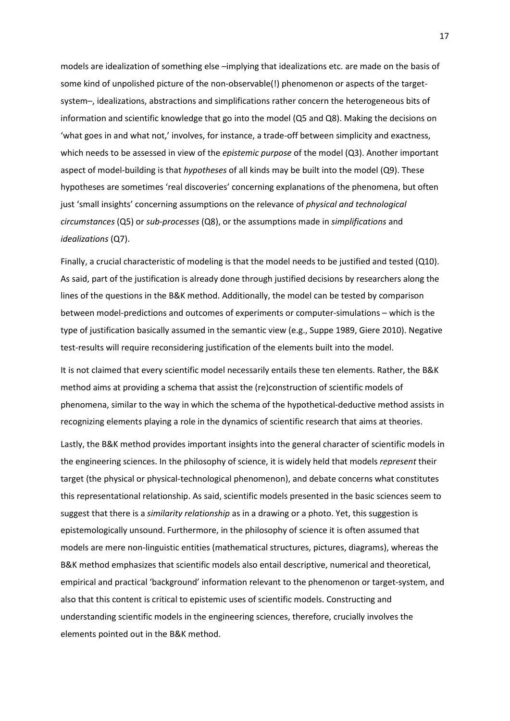models are idealization of something else –implying that idealizations etc. are made on the basis of some kind of unpolished picture of the non-observable(!) phenomenon or aspects of the targetsystem–, idealizations, abstractions and simplifications rather concern the heterogeneous bits of information and scientific knowledge that go into the model (Q5 and Q8). Making the decisions on 'what goes in and what not,' involves, for instance, a trade-off between simplicity and exactness, which needs to be assessed in view of the *epistemic purpose* of the model (Q3). Another important aspect of model-building is that *hypotheses* of all kinds may be built into the model (Q9). These hypotheses are sometimes 'real discoveries' concerning explanations of the phenomena, but often just 'small insights' concerning assumptions on the relevance of *physical and technological circumstances* (Q5) or *sub-processes* (Q8), or the assumptions made in *simplifications* and *idealizations* (Q7).

Finally, a crucial characteristic of modeling is that the model needs to be justified and tested (Q10). As said, part of the justification is already done through justified decisions by researchers along the lines of the questions in the B&K method. Additionally, the model can be tested by comparison between model-predictions and outcomes of experiments or computer-simulations – which is the type of justification basically assumed in the semantic view (e.g., Suppe 1989, Giere 2010). Negative test-results will require reconsidering justification of the elements built into the model.

It is not claimed that every scientific model necessarily entails these ten elements. Rather, the B&K method aims at providing a schema that assist the (re)construction of scientific models of phenomena, similar to the way in which the schema of the hypothetical-deductive method assists in recognizing elements playing a role in the dynamics of scientific research that aims at theories.

Lastly, the B&K method provides important insights into the general character of scientific models in the engineering sciences. In the philosophy of science, it is widely held that models *represent* their target (the physical or physical-technological phenomenon), and debate concerns what constitutes this representational relationship. As said, scientific models presented in the basic sciences seem to suggest that there is a *similarity relationship* as in a drawing or a photo. Yet, this suggestion is epistemologically unsound. Furthermore, in the philosophy of science it is often assumed that models are mere non-linguistic entities (mathematical structures, pictures, diagrams), whereas the B&K method emphasizes that scientific models also entail descriptive, numerical and theoretical, empirical and practical 'background' information relevant to the phenomenon or target-system, and also that this content is critical to epistemic uses of scientific models. Constructing and understanding scientific models in the engineering sciences, therefore, crucially involves the elements pointed out in the B&K method.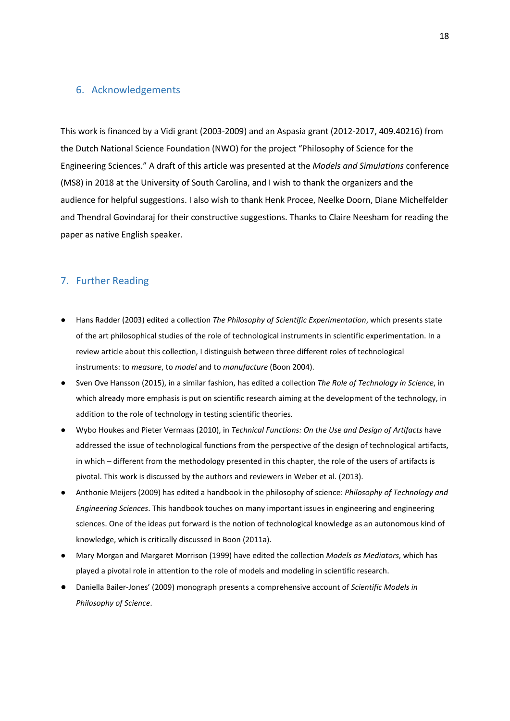# 6. Acknowledgements

This work is financed by a Vidi grant (2003-2009) and an Aspasia grant (2012-2017, 409.40216) from the Dutch National Science Foundation (NWO) for the project "Philosophy of Science for the Engineering Sciences." A draft of this article was presented at the *Models and Simulations* conference (MS8) in 2018 at the University of South Carolina, and I wish to thank the organizers and the audience for helpful suggestions. I also wish to thank Henk Procee, Neelke Doorn, Diane Michelfelder and Thendral Govindaraj for their constructive suggestions. Thanks to Claire Neesham for reading the paper as native English speaker.

## 7. Further Reading

- Hans Radder (2003) edited a collection *The Philosophy of Scientific Experimentation*, which presents state of the art philosophical studies of the role of technological instruments in scientific experimentation. In a review article about this collection, I distinguish between three different roles of technological instruments: to *measure*, to *model* and to *manufacture* (Boon 2004).
- Sven Ove Hansson (2015), in a similar fashion, has edited a collection *The Role of Technology in Science*, in which already more emphasis is put on scientific research aiming at the development of the technology, in addition to the role of technology in testing scientific theories.
- Wybo Houkes and Pieter Vermaas (2010), in *Technical Functions: On the Use and Design of Artifacts* have addressed the issue of technological functions from the perspective of the design of technological artifacts, in which – different from the methodology presented in this chapter, the role of the users of artifacts is pivotal. This work is discussed by the authors and reviewers in Weber et al. (2013).
- Anthonie Meijers (2009) has edited a handbook in the philosophy of science: *Philosophy of Technology and Engineering Sciences*. This handbook touches on many important issues in engineering and engineering sciences. One of the ideas put forward is the notion of technological knowledge as an autonomous kind of knowledge, which is critically discussed in Boon (2011a).
- Mary Morgan and Margaret Morrison (1999) have edited the collection *Models as Mediators*, which has played a pivotal role in attention to the role of models and modeling in scientific research.
- Daniella Bailer-Jones' (2009) monograph presents a comprehensive account of *Scientific Models in Philosophy of Science*.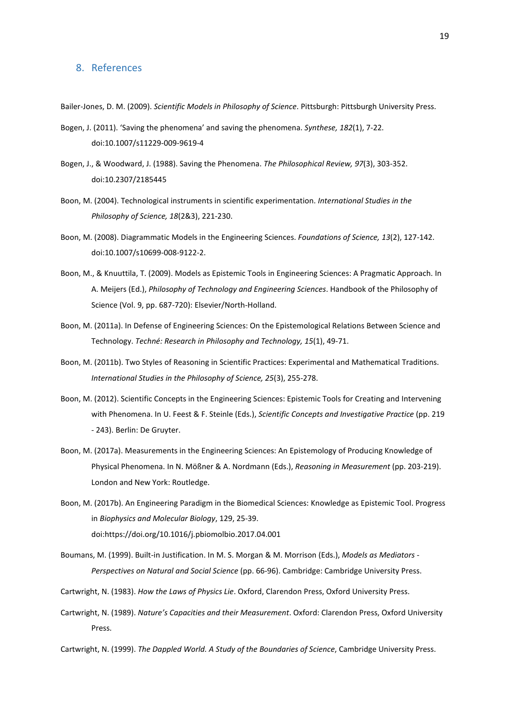### 8. References

Bailer-Jones, D. M. (2009). *Scientific Models in Philosophy of Science*. Pittsburgh: Pittsburgh University Press.

- Bogen, J. (2011). 'Saving the phenomena' and saving the phenomena. *Synthese, 182*(1), 7-22. doi:10.1007/s11229-009-9619-4
- Bogen, J., & Woodward, J. (1988). Saving the Phenomena. *The Philosophical Review, 97*(3), 303-352. doi:10.2307/2185445
- Boon, M. (2004). Technological instruments in scientific experimentation. *International Studies in the Philosophy of Science, 18*(2&3), 221-230.
- Boon, M. (2008). Diagrammatic Models in the Engineering Sciences. *Foundations of Science, 13*(2), 127-142. doi:10.1007/s10699-008-9122-2.
- Boon, M., & Knuuttila, T. (2009). Models as Epistemic Tools in Engineering Sciences: A Pragmatic Approach. In A. Meijers (Ed.), *Philosophy of Technology and Engineering Sciences*. Handbook of the Philosophy of Science (Vol. 9, pp. 687-720): Elsevier/North-Holland.
- Boon, M. (2011a). In Defense of Engineering Sciences: On the Epistemological Relations Between Science and Technology. *Techné: Research in Philosophy and Technology, 15*(1), 49-71.
- Boon, M. (2011b). Two Styles of Reasoning in Scientific Practices: Experimental and Mathematical Traditions. *International Studies in the Philosophy of Science, 25*(3), 255-278.
- Boon, M. (2012). Scientific Concepts in the Engineering Sciences: Epistemic Tools for Creating and Intervening with Phenomena. In U. Feest & F. Steinle (Eds.), *Scientific Concepts and Investigative Practice* (pp. 219 - 243). Berlin: De Gruyter.
- Boon, M. (2017a). Measurements in the Engineering Sciences: An Epistemology of Producing Knowledge of Physical Phenomena. In N. Mößner & A. Nordmann (Eds.), *Reasoning in Measurement* (pp. 203-219). London and New York: Routledge.
- Boon, M. (2017b). An Engineering Paradigm in the Biomedical Sciences: Knowledge as Epistemic Tool. Progress in *Biophysics and Molecular Biology*, 129, 25-39. doi:https://doi.org/10.1016/j.pbiomolbio.2017.04.001
- Boumans, M. (1999). Built-in Justification. In M. S. Morgan & M. Morrison (Eds.), *Models as Mediators - Perspectives on Natural and Social Science* (pp. 66-96). Cambridge: Cambridge University Press.
- Cartwright, N. (1983). *How the Laws of Physics Lie*. Oxford, Clarendon Press, Oxford University Press.
- Cartwright, N. (1989). *Nature's Capacities and their Measurement*. Oxford: Clarendon Press, Oxford University **Press**
- Cartwright, N. (1999). *The Dappled World. A Study of the Boundaries of Science*, Cambridge University Press.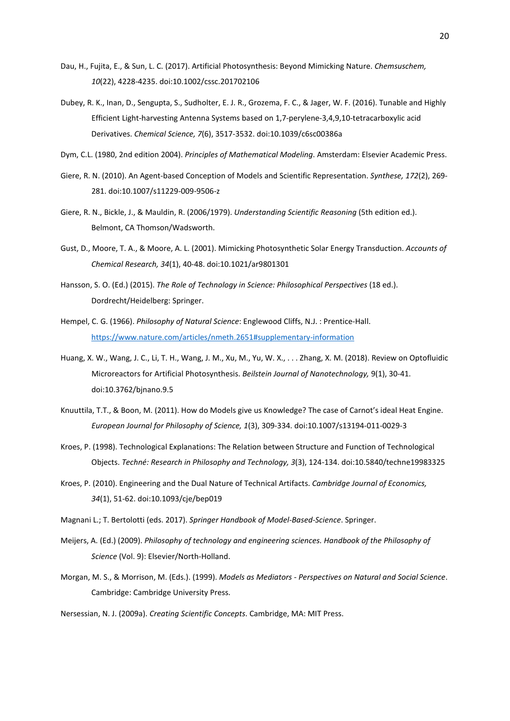- Dau, H., Fujita, E., & Sun, L. C. (2017). Artificial Photosynthesis: Beyond Mimicking Nature. *Chemsuschem, 10*(22), 4228-4235. doi:10.1002/cssc.201702106
- Dubey, R. K., Inan, D., Sengupta, S., Sudholter, E. J. R., Grozema, F. C., & Jager, W. F. (2016). Tunable and Highly Efficient Light-harvesting Antenna Systems based on 1,7-perylene-3,4,9,10-tetracarboxylic acid Derivatives. *Chemical Science, 7*(6), 3517-3532. doi:10.1039/c6sc00386a
- Dym, C.L. (1980, 2nd edition 2004). *Principles of Mathematical Modeling*. Amsterdam: Elsevier Academic Press.
- Giere, R. N. (2010). An Agent-based Conception of Models and Scientific Representation. *Synthese, 172*(2), 269- 281. doi:10.1007/s11229-009-9506-z
- Giere, R. N., Bickle, J., & Mauldin, R. (2006/1979). *Understanding Scientific Reasoning* (5th edition ed.). Belmont, CA Thomson/Wadsworth.
- Gust, D., Moore, T. A., & Moore, A. L. (2001). Mimicking Photosynthetic Solar Energy Transduction. *Accounts of Chemical Research, 34*(1), 40-48. doi:10.1021/ar9801301
- Hansson, S. O. (Ed.) (2015). *The Role of Technology in Science: Philosophical Perspectives* (18 ed.). Dordrecht/Heidelberg: Springer.
- Hempel, C. G. (1966). *Philosophy of Natural Science*: Englewood Cliffs, N.J. : Prentice-Hall. <https://www.nature.com/articles/nmeth.2651#supplementary-information>
- Huang, X. W., Wang, J. C., Li, T. H., Wang, J. M., Xu, M., Yu, W. X., . . . Zhang, X. M. (2018). Review on Optofluidic Microreactors for Artificial Photosynthesis. *Beilstein Journal of Nanotechnology,* 9(1), 30-41. doi:10.3762/bjnano.9.5
- Knuuttila, T.T., & Boon, M. (2011). How do Models give us Knowledge? The case of Carnot's ideal Heat Engine. *European Journal for Philosophy of Science, 1*(3), 309-334. doi:10.1007/s13194-011-0029-3
- Kroes, P. (1998). Technological Explanations: The Relation between Structure and Function of Technological Objects. *Techné: Research in Philosophy and Technology, 3*(3), 124-134. doi:10.5840/techne19983325
- Kroes, P. (2010). Engineering and the Dual Nature of Technical Artifacts. *Cambridge Journal of Economics, 34*(1), 51-62. doi:10.1093/cje/bep019
- Magnani L.; T. Bertolotti (eds. 2017). *Springer Handbook of Model-Based-Science*. Springer.
- Meijers, A. (Ed.) (2009). *Philosophy of technology and engineering sciences. Handbook of the Philosophy of Science* (Vol. 9): Elsevier/North-Holland.
- Morgan, M. S., & Morrison, M. (Eds.). (1999). *Models as Mediators - Perspectives on Natural and Social Science*. Cambridge: Cambridge University Press.
- Nersessian, N. J. (2009a). *Creating Scientific Concepts*. Cambridge, MA: MIT Press.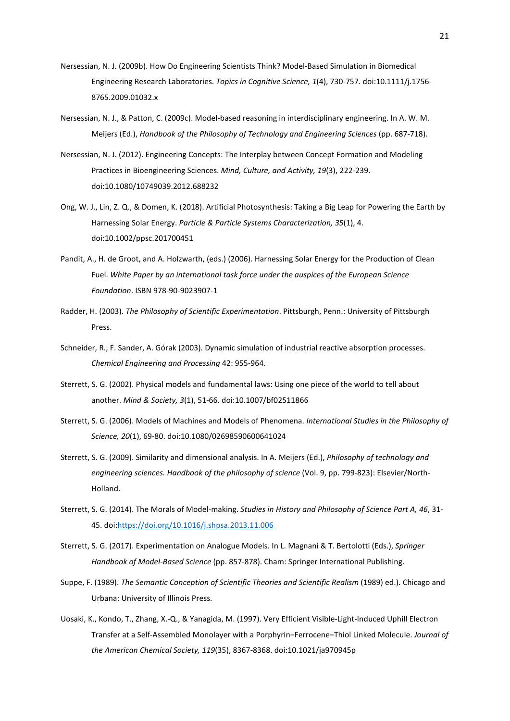- Nersessian, N. J. (2009b). How Do Engineering Scientists Think? Model-Based Simulation in Biomedical Engineering Research Laboratories. *Topics in Cognitive Science, 1*(4), 730-757. doi:10.1111/j.1756- 8765.2009.01032.x
- Nersessian, N. J., & Patton, C. (2009c). Model-based reasoning in interdisciplinary engineering. In A. W. M. Meijers (Ed.), *Handbook of the Philosophy of Technology and Engineering Sciences* (pp. 687-718).
- Nersessian, N. J. (2012). Engineering Concepts: The Interplay between Concept Formation and Modeling Practices in Bioengineering Sciences. *Mind, Culture, and Activity, 19*(3), 222-239. doi:10.1080/10749039.2012.688232
- Ong, W. J., Lin, Z. Q., & Domen, K. (2018). Artificial Photosynthesis: Taking a Big Leap for Powering the Earth by Harnessing Solar Energy. *Particle & Particle Systems Characterization, 35*(1), 4. doi:10.1002/ppsc.201700451
- Pandit, A., H. de Groot, and A. Holzwarth, (eds.) (2006). Harnessing Solar Energy for the Production of Clean Fuel. *White Paper by an international task force under the auspices of the European Science Foundation*. ISBN 978-90-9023907-1
- Radder, H. (2003). *The Philosophy of Scientific Experimentation*. Pittsburgh, Penn.: University of Pittsburgh Press.
- Schneider, R., F. Sander, A. Górak (2003). Dynamic simulation of industrial reactive absorption processes. *Chemical Engineering and Processing* 42: 955-964.
- Sterrett, S. G. (2002). Physical models and fundamental laws: Using one piece of the world to tell about another. *Mind & Society, 3*(1), 51-66. doi:10.1007/bf02511866
- Sterrett, S. G. (2006). Models of Machines and Models of Phenomena. *International Studies in the Philosophy of Science, 20*(1), 69-80. doi:10.1080/02698590600641024
- Sterrett, S. G. (2009). Similarity and dimensional analysis. In A. Meijers (Ed.), *Philosophy of technology and engineering sciences. Handbook of the philosophy of science* (Vol. 9, pp. 799-823): Elsevier/North-Holland.
- Sterrett, S. G. (2014). The Morals of Model-making. *Studies in History and Philosophy of Science Part A, 46*, 31- 45. doi[:https://doi.org/10.1016/j.shpsa.2013.11.006](https://doi.org/10.1016/j.shpsa.2013.11.006)
- Sterrett, S. G. (2017). Experimentation on Analogue Models. In L. Magnani & T. Bertolotti (Eds.), *Springer Handbook of Model-Based Science* (pp. 857-878). Cham: Springer International Publishing.
- Suppe, F. (1989). *The Semantic Conception of Scientific Theories and Scientific Realism* (1989) ed.). Chicago and Urbana: University of Illinois Press.
- Uosaki, K., Kondo, T., Zhang, X.-Q., & Yanagida, M. (1997). Very Efficient Visible-Light-Induced Uphill Electron Transfer at a Self-Assembled Monolayer with a Porphyrin−Ferrocene−Thiol Linked Molecule. *Journal of the American Chemical Society, 119*(35), 8367-8368. doi:10.1021/ja970945p